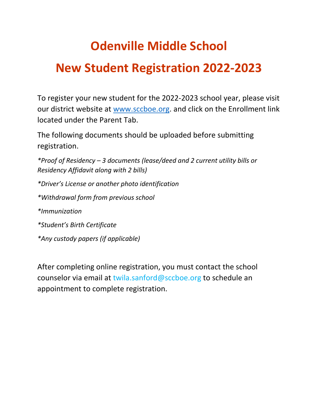## **Odenville Middle School**

## **New Student Registration 2022-2023**

To register your new student for the 2022-2023 school year, please visit our district website at [www.sccboe.org.](http://www.sccboe.org/) and click on the Enrollment link located under the Parent Tab.

The following documents should be uploaded before submitting registration.

*\*Proof of Residency – 3 documents (lease/deed and 2 current utility bills or Residency Affidavit along with 2 bills) \*Driver's License or another photo identification \*Withdrawal form from previous school \*Immunization \*Student's Birth Certificate \*Any custody papers (if applicable)*

After completing online registration, you must contact the school counselor via email at twila.sanford@sccboe.org to schedule an appointment to complete registration.